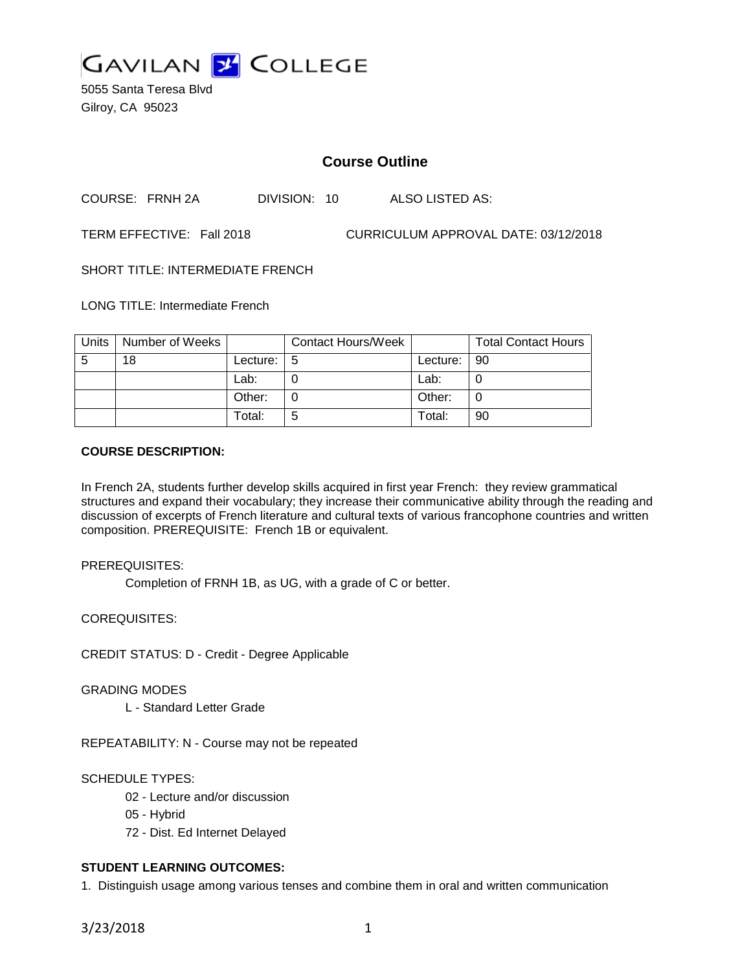

5055 Santa Teresa Blvd Gilroy, CA 95023

# **Course Outline**

COURSE: FRNH 2A DIVISION: 10 ALSO LISTED AS:

TERM EFFECTIVE: Fall 2018 CURRICULUM APPROVAL DATE: 03/12/2018

SHORT TITLE: INTERMEDIATE FRENCH

LONG TITLE: Intermediate French

| Units | Number of Weeks |          | <b>Contact Hours/Week</b> |               | <b>Total Contact Hours</b> |
|-------|-----------------|----------|---------------------------|---------------|----------------------------|
| -5    | 18              | Lecture: | l 5                       | Lecture:   90 |                            |
|       |                 | Lab:     |                           | Lab:          |                            |
|       |                 | Other:   |                           | Other:        |                            |
|       |                 | Total:   | 5                         | Total:        | 90                         |

### **COURSE DESCRIPTION:**

In French 2A, students further develop skills acquired in first year French: they review grammatical structures and expand their vocabulary; they increase their communicative ability through the reading and discussion of excerpts of French literature and cultural texts of various francophone countries and written composition. PREREQUISITE: French 1B or equivalent.

PREREQUISITES:

Completion of FRNH 1B, as UG, with a grade of C or better.

COREQUISITES:

CREDIT STATUS: D - Credit - Degree Applicable

GRADING MODES

L - Standard Letter Grade

REPEATABILITY: N - Course may not be repeated

## SCHEDULE TYPES:

02 - Lecture and/or discussion

- 05 Hybrid
- 72 Dist. Ed Internet Delayed

## **STUDENT LEARNING OUTCOMES:**

1. Distinguish usage among various tenses and combine them in oral and written communication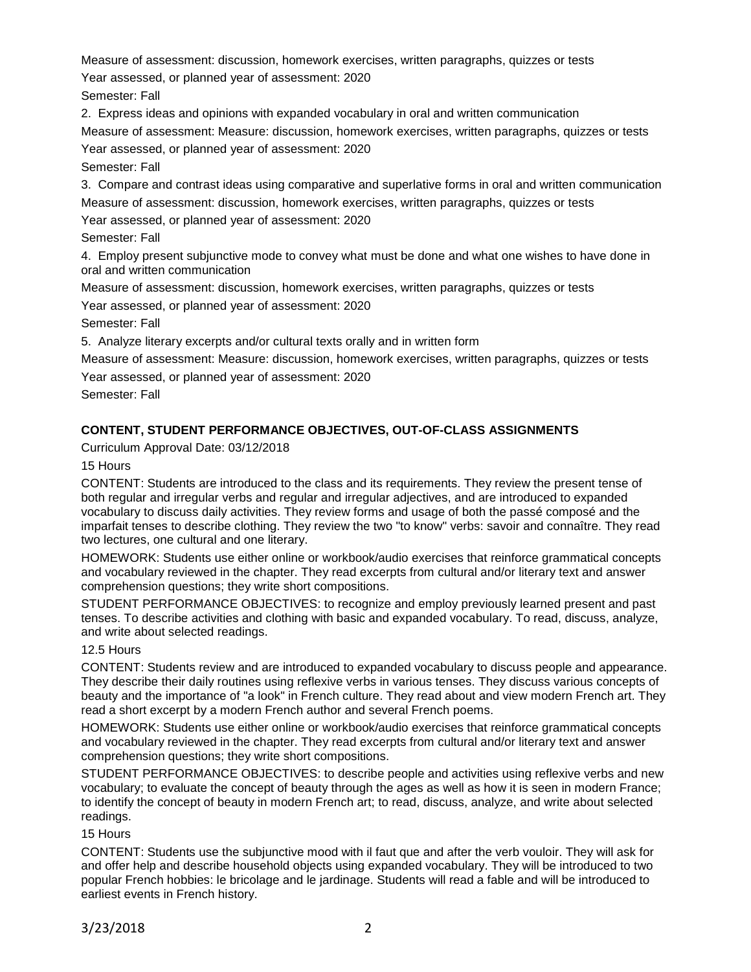Measure of assessment: discussion, homework exercises, written paragraphs, quizzes or tests

Year assessed, or planned year of assessment: 2020

Semester: Fall

2. Express ideas and opinions with expanded vocabulary in oral and written communication

Measure of assessment: Measure: discussion, homework exercises, written paragraphs, quizzes or tests

Year assessed, or planned year of assessment: 2020

Semester: Fall

3. Compare and contrast ideas using comparative and superlative forms in oral and written communication Measure of assessment: discussion, homework exercises, written paragraphs, quizzes or tests

Year assessed, or planned year of assessment: 2020

Semester: Fall

4. Employ present subjunctive mode to convey what must be done and what one wishes to have done in oral and written communication

Measure of assessment: discussion, homework exercises, written paragraphs, quizzes or tests

Year assessed, or planned year of assessment: 2020

Semester: Fall

5. Analyze literary excerpts and/or cultural texts orally and in written form

Measure of assessment: Measure: discussion, homework exercises, written paragraphs, quizzes or tests

Year assessed, or planned year of assessment: 2020

Semester: Fall

## **CONTENT, STUDENT PERFORMANCE OBJECTIVES, OUT-OF-CLASS ASSIGNMENTS**

Curriculum Approval Date: 03/12/2018

15 Hours

CONTENT: Students are introduced to the class and its requirements. They review the present tense of both regular and irregular verbs and regular and irregular adjectives, and are introduced to expanded vocabulary to discuss daily activities. They review forms and usage of both the passé composé and the imparfait tenses to describe clothing. They review the two "to know" verbs: savoir and connaître. They read two lectures, one cultural and one literary.

HOMEWORK: Students use either online or workbook/audio exercises that reinforce grammatical concepts and vocabulary reviewed in the chapter. They read excerpts from cultural and/or literary text and answer comprehension questions; they write short compositions.

STUDENT PERFORMANCE OBJECTIVES: to recognize and employ previously learned present and past tenses. To describe activities and clothing with basic and expanded vocabulary. To read, discuss, analyze, and write about selected readings.

## 12.5 Hours

CONTENT: Students review and are introduced to expanded vocabulary to discuss people and appearance. They describe their daily routines using reflexive verbs in various tenses. They discuss various concepts of beauty and the importance of "a look" in French culture. They read about and view modern French art. They read a short excerpt by a modern French author and several French poems.

HOMEWORK: Students use either online or workbook/audio exercises that reinforce grammatical concepts and vocabulary reviewed in the chapter. They read excerpts from cultural and/or literary text and answer comprehension questions; they write short compositions.

STUDENT PERFORMANCE OBJECTIVES: to describe people and activities using reflexive verbs and new vocabulary; to evaluate the concept of beauty through the ages as well as how it is seen in modern France; to identify the concept of beauty in modern French art; to read, discuss, analyze, and write about selected readings.

## 15 Hours

CONTENT: Students use the subjunctive mood with il faut que and after the verb vouloir. They will ask for and offer help and describe household objects using expanded vocabulary. They will be introduced to two popular French hobbies: le bricolage and le jardinage. Students will read a fable and will be introduced to earliest events in French history.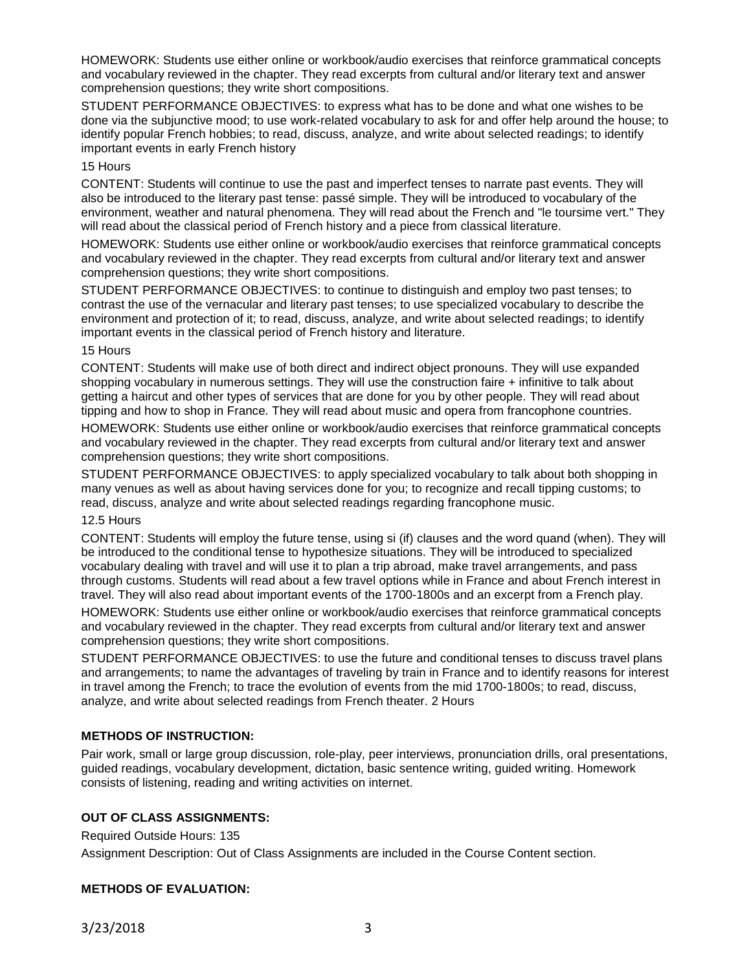HOMEWORK: Students use either online or workbook/audio exercises that reinforce grammatical concepts and vocabulary reviewed in the chapter. They read excerpts from cultural and/or literary text and answer comprehension questions; they write short compositions.

STUDENT PERFORMANCE OBJECTIVES: to express what has to be done and what one wishes to be done via the subjunctive mood; to use work-related vocabulary to ask for and offer help around the house; to identify popular French hobbies; to read, discuss, analyze, and write about selected readings; to identify important events in early French history

### 15 Hours

CONTENT: Students will continue to use the past and imperfect tenses to narrate past events. They will also be introduced to the literary past tense: passé simple. They will be introduced to vocabulary of the environment, weather and natural phenomena. They will read about the French and "le toursime vert." They will read about the classical period of French history and a piece from classical literature.

HOMEWORK: Students use either online or workbook/audio exercises that reinforce grammatical concepts and vocabulary reviewed in the chapter. They read excerpts from cultural and/or literary text and answer comprehension questions; they write short compositions.

STUDENT PERFORMANCE OBJECTIVES: to continue to distinguish and employ two past tenses; to contrast the use of the vernacular and literary past tenses; to use specialized vocabulary to describe the environment and protection of it; to read, discuss, analyze, and write about selected readings; to identify important events in the classical period of French history and literature.

### 15 Hours

CONTENT: Students will make use of both direct and indirect object pronouns. They will use expanded shopping vocabulary in numerous settings. They will use the construction faire + infinitive to talk about getting a haircut and other types of services that are done for you by other people. They will read about tipping and how to shop in France. They will read about music and opera from francophone countries.

HOMEWORK: Students use either online or workbook/audio exercises that reinforce grammatical concepts and vocabulary reviewed in the chapter. They read excerpts from cultural and/or literary text and answer comprehension questions; they write short compositions.

STUDENT PERFORMANCE OBJECTIVES: to apply specialized vocabulary to talk about both shopping in many venues as well as about having services done for you; to recognize and recall tipping customs; to read, discuss, analyze and write about selected readings regarding francophone music.

#### 12.5 Hours

CONTENT: Students will employ the future tense, using si (if) clauses and the word quand (when). They will be introduced to the conditional tense to hypothesize situations. They will be introduced to specialized vocabulary dealing with travel and will use it to plan a trip abroad, make travel arrangements, and pass through customs. Students will read about a few travel options while in France and about French interest in travel. They will also read about important events of the 1700-1800s and an excerpt from a French play.

HOMEWORK: Students use either online or workbook/audio exercises that reinforce grammatical concepts and vocabulary reviewed in the chapter. They read excerpts from cultural and/or literary text and answer comprehension questions; they write short compositions.

STUDENT PERFORMANCE OBJECTIVES: to use the future and conditional tenses to discuss travel plans and arrangements; to name the advantages of traveling by train in France and to identify reasons for interest in travel among the French; to trace the evolution of events from the mid 1700-1800s; to read, discuss, analyze, and write about selected readings from French theater. 2 Hours

## **METHODS OF INSTRUCTION:**

Pair work, small or large group discussion, role-play, peer interviews, pronunciation drills, oral presentations, guided readings, vocabulary development, dictation, basic sentence writing, guided writing. Homework consists of listening, reading and writing activities on internet.

## **OUT OF CLASS ASSIGNMENTS:**

Required Outside Hours: 135

Assignment Description: Out of Class Assignments are included in the Course Content section.

## **METHODS OF EVALUATION:**

3/23/2018 3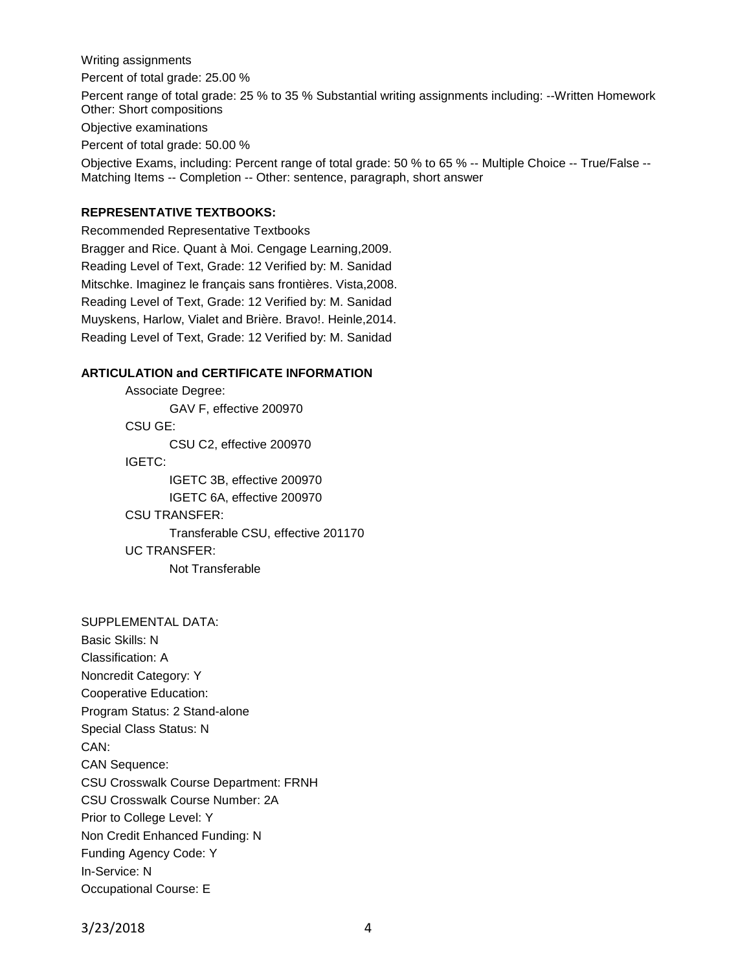Writing assignments

Percent of total grade: 25.00 %

Percent range of total grade: 25 % to 35 % Substantial writing assignments including: --Written Homework Other: Short compositions

Objective examinations

Percent of total grade: 50.00 %

Objective Exams, including: Percent range of total grade: 50 % to 65 % -- Multiple Choice -- True/False -- Matching Items -- Completion -- Other: sentence, paragraph, short answer

## **REPRESENTATIVE TEXTBOOKS:**

Recommended Representative Textbooks Bragger and Rice. Quant à Moi. Cengage Learning,2009. Reading Level of Text, Grade: 12 Verified by: M. Sanidad Mitschke. Imaginez le français sans frontières. Vista,2008. Reading Level of Text, Grade: 12 Verified by: M. Sanidad Muyskens, Harlow, Vialet and Brière. Bravo!. Heinle,2014. Reading Level of Text, Grade: 12 Verified by: M. Sanidad

### **ARTICULATION and CERTIFICATE INFORMATION**

Associate Degree: GAV F, effective 200970 CSU GE: CSU C2, effective 200970 IGETC: IGETC 3B, effective 200970 IGETC 6A, effective 200970 CSU TRANSFER: Transferable CSU, effective 201170 UC TRANSFER: Not Transferable

SUPPLEMENTAL DATA: Basic Skills: N

Classification: A Noncredit Category: Y Cooperative Education: Program Status: 2 Stand-alone Special Class Status: N CAN: CAN Sequence: CSU Crosswalk Course Department: FRNH CSU Crosswalk Course Number: 2A Prior to College Level: Y Non Credit Enhanced Funding: N Funding Agency Code: Y In-Service: N Occupational Course: E

3/23/2018 4